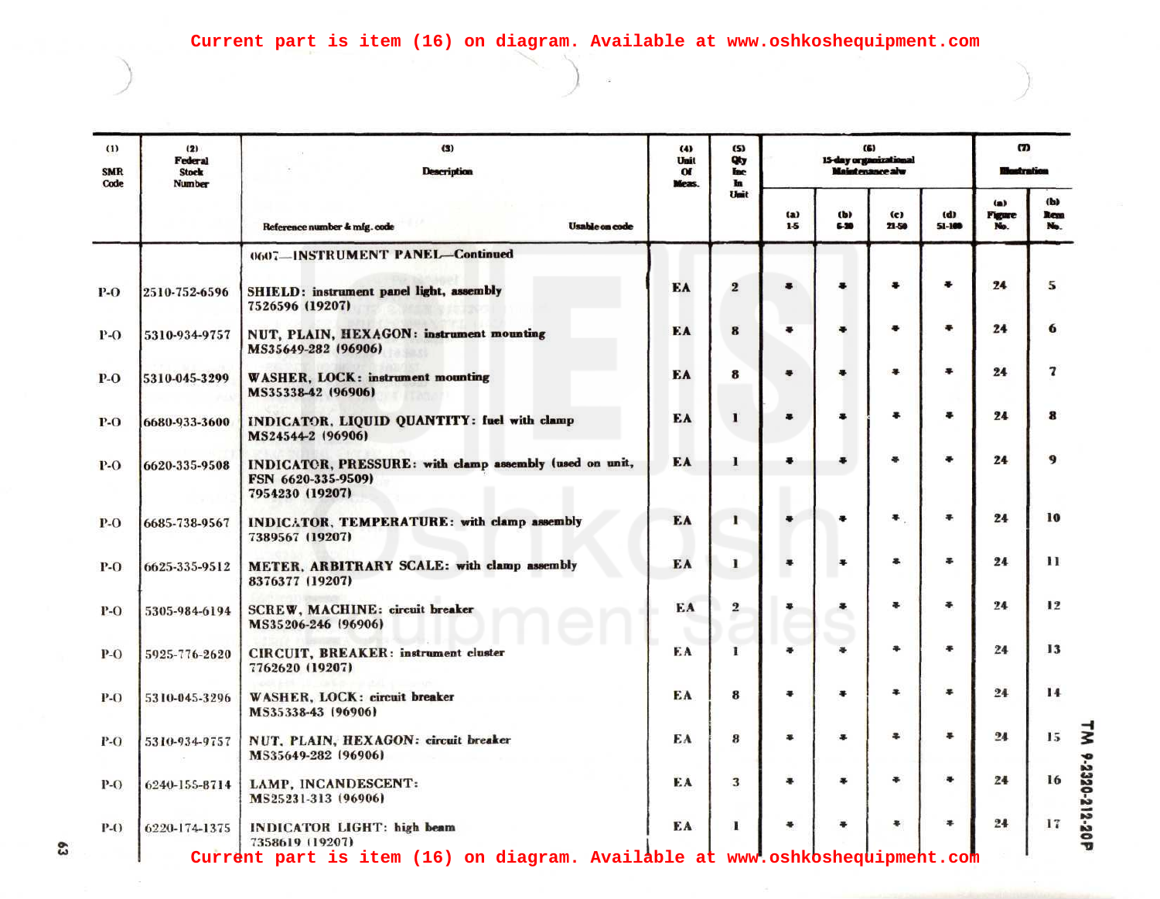| $\bf(1)$<br><b>SMR</b><br>Code | (2)<br>Federal<br><b>Stock</b><br>Number | (3)<br><b>Description</b>                                                                        | (4)<br>Unit<br>$\alpha$<br>Meas. | (5)<br>Qty<br><b>Inc.</b><br><b>In</b> | (6)<br>15-day organizational<br><b>Maintenance</b> alw |               |                |                   | $\boldsymbol{\sigma}$ |                           |
|--------------------------------|------------------------------------------|--------------------------------------------------------------------------------------------------|----------------------------------|----------------------------------------|--------------------------------------------------------|---------------|----------------|-------------------|-----------------------|---------------------------|
|                                |                                          | Reference number & mfg.code<br><b>Usable on code</b>                                             |                                  | Unit                                   | (a)<br>$1-5$                                           | (b)<br>$6-20$ | (c)<br>$21-50$ | (d)<br>$51 - 100$ | (a)<br>Figure<br>No.  | (b)<br><b>Revo</b><br>No. |
|                                |                                          | 0607-INSTRUMENT PANEL-Continued                                                                  |                                  |                                        |                                                        |               |                |                   |                       |                           |
| P-O                            | 2510-752-6596                            | SHIELD: instrument panel light, assembly<br>7526596 (19207)                                      | EA                               | $\overline{2}$                         |                                                        |               |                | ÷                 | 24                    | 5                         |
| <b>P-O</b>                     | 5310-934-9757                            | NUT, PLAIN, HEXAGON: instrument mounting<br>MS35649-282 (96906)                                  | EA                               | 8                                      |                                                        |               | õ              | 平                 | 24                    | 6                         |
| $P-O$                          | 5310-045-3299                            | <b>WASHER, LOCK: instrument mounting</b><br>MS35338-42 (96906)                                   | EA                               | 8                                      |                                                        |               | 黒              | 暴                 | 24                    | 7                         |
| P-O                            | 6680-933-3600                            | INDICATOR, LIQUID QUANTITY: fuel with clamp<br>MS24544-2 (96906)                                 | EA                               |                                        |                                                        |               | *              | $\bullet$         | 24                    | R                         |
| P-O                            | 6620-335-9508                            | INDICATOR, PRESSURE: with clamp assembly (used on unit,<br>FSN 6620-335-9509)<br>7954230 (19207) | EA                               |                                        |                                                        |               |                | 黒                 | 24                    | Q                         |
| <b>P-O</b>                     | 6685-738-9567                            | INDICATOR, TEMPERATURE: with clamp assembly<br>7389567 (19207)                                   | EA                               |                                        |                                                        | 록             | $\bullet$      | 帚                 | 24                    | 10                        |
| $P-O$                          | 6625-335-9512                            | METER, ARBITRARY SCALE: with clamp assembly<br>8376377 (19207)                                   | EA                               | 1                                      |                                                        | ¥             | 暮              | 事                 | 24                    | 11                        |
| <b>P-O</b>                     | 5305-984-6194                            | <b>SCREW, MACHINE: circuit breaker</b><br>MS35206-246 (96906)                                    | EA                               | 2                                      | ¥                                                      | 事             | 事              | 족                 | 24                    | 12                        |
| <b>P-O</b>                     | 5925-776-2620                            | CIRCUIT, BREAKER: instrument cluster<br>7762620 (19207)                                          | EA                               | 1                                      |                                                        |               | ÷              | ÷                 | 24                    | 13                        |
| <b>P-O</b>                     | 5310-045-3296                            | WASHER, LOCK: circuit breaker<br>MS35338-43 (96906)                                              | ЕA                               | 8                                      | ÷                                                      | 帯             | Ŧ              | 墨                 | 24                    | 14                        |
| P-O                            | 5310-934-9757                            | NUT. PLAIN, HEXAGON: circuit breaker<br>MS35649-282 (96906)                                      | EA                               | 8                                      | ¥                                                      | ¥             | 丰              | $\bullet$         | 24                    | 15                        |
| P-O                            | 6240-155-8714                            | LAMP, INCANDESCENT:<br>MS25231-313 (96906)                                                       | EA                               | 3                                      |                                                        | 皋             | ÷              | $\bullet$         | 24                    | 16                        |
| P-0                            | 6220-174-1375                            | INDICATOR LIGHT: high beam<br>7358619 (19207)                                                    | EA                               | I.                                     |                                                        |               | ۰              | ÷                 | 24                    | 17                        |
|                                |                                          | Current part is item (16) on diagram. Available at www.oshkoshequipment.com                      |                                  |                                        |                                                        |               |                |                   |                       |                           |

S

TM 9-2320-212-20P